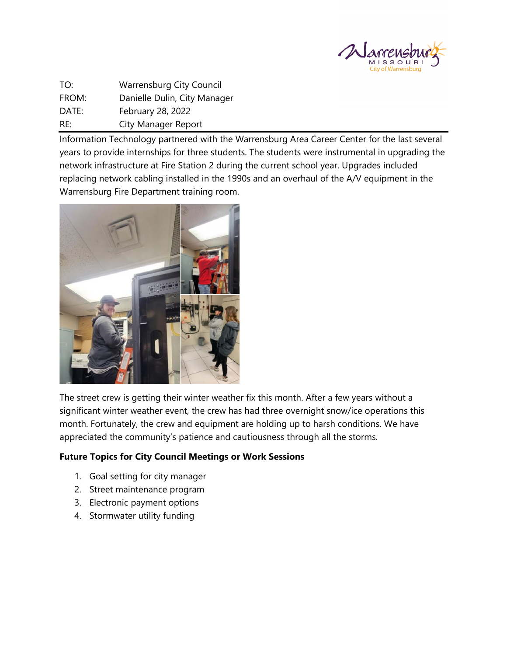

TO: Warrensburg City Council FROM: Danielle Dulin, City Manager DATE: February 28, 2022 RE: City Manager Report

Information Technology partnered with the Warrensburg Area Career Center for the last several years to provide internships for three students. The students were instrumental in upgrading the network infrastructure at Fire Station 2 during the current school year. Upgrades included replacing network cabling installed in the 1990s and an overhaul of the A/V equipment in the Warrensburg Fire Department training room.



The street crew is getting their winter weather fix this month. After a few years without a significant winter weather event, the crew has had three overnight snow/ice operations this month. Fortunately, the crew and equipment are holding up to harsh conditions. We have appreciated the community's patience and cautiousness through all the storms.

# **Future Topics for City Council Meetings or Work Sessions**

- 1. Goal setting for city manager
- 2. Street maintenance program
- 3. Electronic payment options
- 4. Stormwater utility funding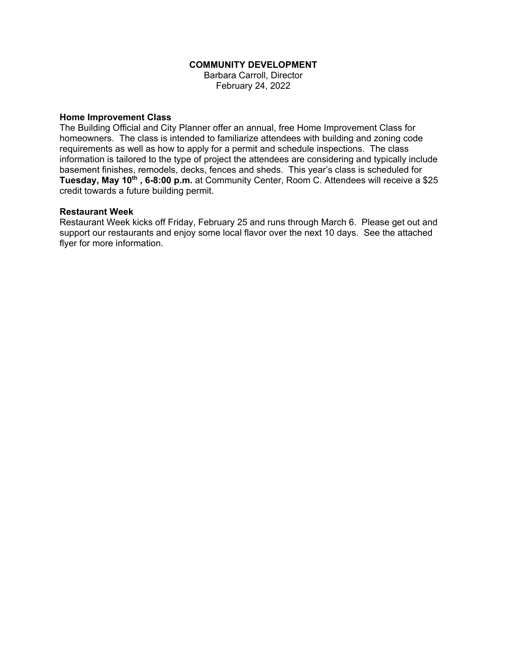### **COMMUNITY DEVELOPMENT**

Barbara Carroll, Director February 24, 2022

#### **Home Improvement Class**

The Building Official and City Planner offer an annual, free Home Improvement Class for homeowners. The class is intended to familiarize attendees with building and zoning code requirements as well as how to apply for a permit and schedule inspections. The class information is tailored to the type of project the attendees are considering and typically include basement finishes, remodels, decks, fences and sheds. This year's class is scheduled for **Tuesday, May 10th , 6-8:00 p.m.** at Community Center, Room C. Attendees will receive a \$25 credit towards a future building permit.

#### **Restaurant Week**

Restaurant Week kicks off Friday, February 25 and runs through March 6. Please get out and support our restaurants and enjoy some local flavor over the next 10 days. See the attached flyer for more information.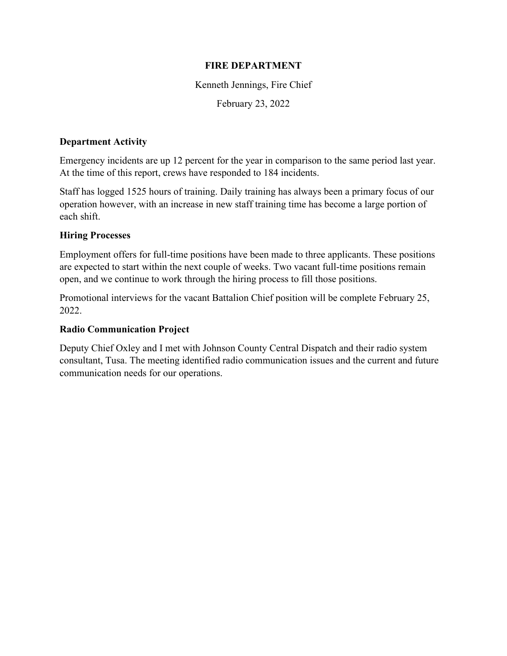# **FIRE DEPARTMENT**

Kenneth Jennings, Fire Chief

February 23, 2022

## **Department Activity**

Emergency incidents are up 12 percent for the year in comparison to the same period last year. At the time of this report, crews have responded to 184 incidents.

Staff has logged 1525 hours of training. Daily training has always been a primary focus of our operation however, with an increase in new staff training time has become a large portion of each shift.

# **Hiring Processes**

Employment offers for full-time positions have been made to three applicants. These positions are expected to start within the next couple of weeks. Two vacant full-time positions remain open, and we continue to work through the hiring process to fill those positions.

Promotional interviews for the vacant Battalion Chief position will be complete February 25, 2022.

## **Radio Communication Project**

Deputy Chief Oxley and I met with Johnson County Central Dispatch and their radio system consultant, Tusa. The meeting identified radio communication issues and the current and future communication needs for our operations.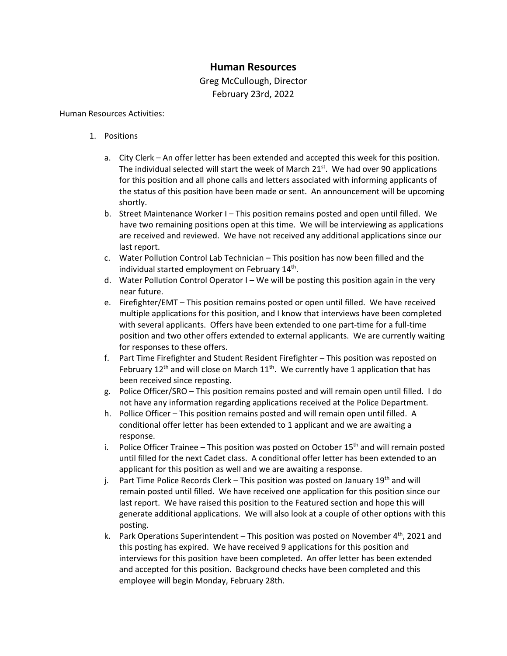# **Human Resources**

Greg McCullough, Director February 23rd, 2022

#### Human Resources Activities:

- 1. Positions
	- a. City Clerk An offer letter has been extended and accepted this week for this position. The individual selected will start the week of March  $21<sup>st</sup>$ . We had over 90 applications for this position and all phone calls and letters associated with informing applicants of the status of this position have been made or sent. An announcement will be upcoming shortly.
	- b. Street Maintenance Worker I This position remains posted and open until filled. We have two remaining positions open at this time. We will be interviewing as applications are received and reviewed. We have not received any additional applications since our last report.
	- c. Water Pollution Control Lab Technician This position has now been filled and the individual started employment on February 14<sup>th</sup>.
	- d. Water Pollution Control Operator I We will be posting this position again in the very near future.
	- e. Firefighter/EMT This position remains posted or open until filled. We have received multiple applications for this position, and I know that interviews have been completed with several applicants. Offers have been extended to one part-time for a full-time position and two other offers extended to external applicants. We are currently waiting for responses to these offers.
	- f. Part Time Firefighter and Student Resident Firefighter This position was reposted on February  $12<sup>th</sup>$  and will close on March  $11<sup>th</sup>$ . We currently have 1 application that has been received since reposting.
	- g. Police Officer/SRO This position remains posted and will remain open until filled. I do not have any information regarding applications received at the Police Department.
	- h. Pollice Officer This position remains posted and will remain open until filled. A conditional offer letter has been extended to 1 applicant and we are awaiting a response.
	- i. Police Officer Trainee This position was posted on October  $15<sup>th</sup>$  and will remain posted until filled for the next Cadet class. A conditional offer letter has been extended to an applicant for this position as well and we are awaiting a response.
	- j. Part Time Police Records Clerk This position was posted on January  $19^{th}$  and will remain posted until filled. We have received one application for this position since our last report. We have raised this position to the Featured section and hope this will generate additional applications. We will also look at a couple of other options with this posting.
	- k. Park Operations Superintendent This position was posted on November  $4^{th}$ , 2021 and this posting has expired. We have received 9 applications for this position and interviews for this position have been completed. An offer letter has been extended and accepted for this position. Background checks have been completed and this employee will begin Monday, February 28th.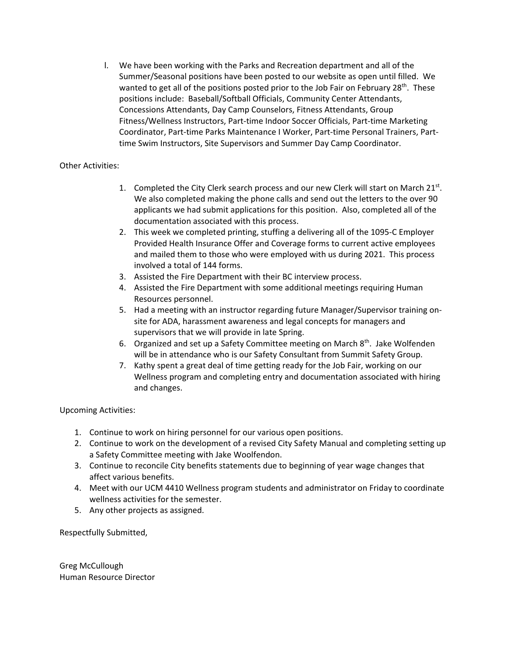l. We have been working with the Parks and Recreation department and all of the Summer/Seasonal positions have been posted to our website as open until filled. We wanted to get all of the positions posted prior to the Job Fair on February  $28<sup>th</sup>$ . These positions include: Baseball/Softball Officials, Community Center Attendants, Concessions Attendants, Day Camp Counselors, Fitness Attendants, Group Fitness/Wellness Instructors, Part-time Indoor Soccer Officials, Part-time Marketing Coordinator, Part-time Parks Maintenance I Worker, Part-time Personal Trainers, Parttime Swim Instructors, Site Supervisors and Summer Day Camp Coordinator.

### Other Activities:

- 1. Completed the City Clerk search process and our new Clerk will start on March  $21^{st}$ . We also completed making the phone calls and send out the letters to the over 90 applicants we had submit applications for this position. Also, completed all of the documentation associated with this process.
- 2. This week we completed printing, stuffing a delivering all of the 1095-C Employer Provided Health Insurance Offer and Coverage forms to current active employees and mailed them to those who were employed with us during 2021. This process involved a total of 144 forms.
- 3. Assisted the Fire Department with their BC interview process.
- 4. Assisted the Fire Department with some additional meetings requiring Human Resources personnel.
- 5. Had a meeting with an instructor regarding future Manager/Supervisor training onsite for ADA, harassment awareness and legal concepts for managers and supervisors that we will provide in late Spring.
- 6. Organized and set up a Safety Committee meeting on March  $8^{th}$ . Jake Wolfenden will be in attendance who is our Safety Consultant from Summit Safety Group.
- 7. Kathy spent a great deal of time getting ready for the Job Fair, working on our Wellness program and completing entry and documentation associated with hiring and changes.

Upcoming Activities:

- 1. Continue to work on hiring personnel for our various open positions.
- 2. Continue to work on the development of a revised City Safety Manual and completing setting up a Safety Committee meeting with Jake Woolfendon.
- 3. Continue to reconcile City benefits statements due to beginning of year wage changes that affect various benefits.
- 4. Meet with our UCM 4410 Wellness program students and administrator on Friday to coordinate wellness activities for the semester.
- 5. Any other projects as assigned.

Respectfully Submitted,

Greg McCullough Human Resource Director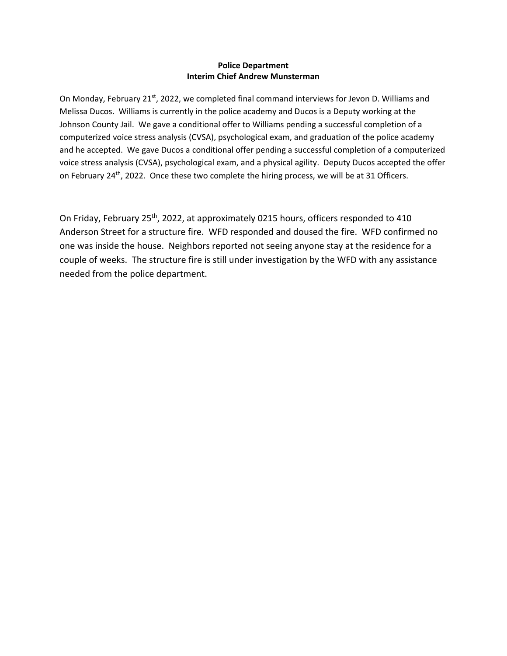### **Police Department Interim Chief Andrew Munsterman**

On Monday, February 21<sup>st</sup>, 2022, we completed final command interviews for Jevon D. Williams and Melissa Ducos. Williams is currently in the police academy and Ducos is a Deputy working at the Johnson County Jail. We gave a conditional offer to Williams pending a successful completion of a computerized voice stress analysis (CVSA), psychological exam, and graduation of the police academy and he accepted. We gave Ducos a conditional offer pending a successful completion of a computerized voice stress analysis (CVSA), psychological exam, and a physical agility. Deputy Ducos accepted the offer on February 24<sup>th</sup>, 2022. Once these two complete the hiring process, we will be at 31 Officers.

On Friday, February 25<sup>th</sup>, 2022, at approximately 0215 hours, officers responded to 410 Anderson Street for a structure fire. WFD responded and doused the fire. WFD confirmed no one was inside the house. Neighbors reported not seeing anyone stay at the residence for a couple of weeks. The structure fire is still under investigation by the WFD with any assistance needed from the police department.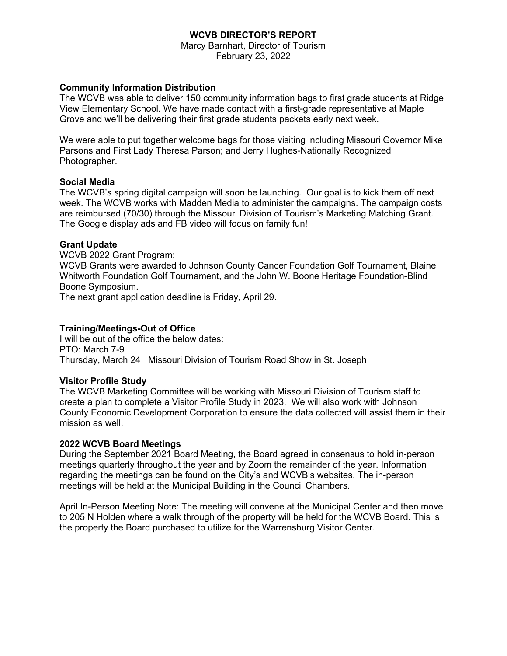## **WCVB DIRECTOR'S REPORT**

Marcy Barnhart, Director of Tourism February 23, 2022

### **Community Information Distribution**

The WCVB was able to deliver 150 community information bags to first grade students at Ridge View Elementary School. We have made contact with a first-grade representative at Maple Grove and we'll be delivering their first grade students packets early next week.

We were able to put together welcome bags for those visiting including Missouri Governor Mike Parsons and First Lady Theresa Parson; and Jerry Hughes-Nationally Recognized Photographer.

### **Social Media**

The WCVB's spring digital campaign will soon be launching. Our goal is to kick them off next week. The WCVB works with Madden Media to administer the campaigns. The campaign costs are reimbursed (70/30) through the Missouri Division of Tourism's Marketing Matching Grant. The Google display ads and FB video will focus on family fun!

### **Grant Update**

WCVB 2022 Grant Program: WCVB Grants were awarded to Johnson County Cancer Foundation Golf Tournament, Blaine Whitworth Foundation Golf Tournament, and the John W. Boone Heritage Foundation-Blind Boone Symposium.

The next grant application deadline is Friday, April 29.

### **Training/Meetings-Out of Office**

I will be out of the office the below dates: PTO: March 7-9 Thursday, March 24 Missouri Division of Tourism Road Show in St. Joseph

### **Visitor Profile Study**

The WCVB Marketing Committee will be working with Missouri Division of Tourism staff to create a plan to complete a Visitor Profile Study in 2023. We will also work with Johnson County Economic Development Corporation to ensure the data collected will assist them in their mission as well.

### **2022 WCVB Board Meetings**

During the September 2021 Board Meeting, the Board agreed in consensus to hold in-person meetings quarterly throughout the year and by Zoom the remainder of the year. Information regarding the meetings can be found on the City's and WCVB's websites. The in-person meetings will be held at the Municipal Building in the Council Chambers.

April In-Person Meeting Note: The meeting will convene at the Municipal Center and then move to 205 N Holden where a walk through of the property will be held for the WCVB Board. This is the property the Board purchased to utilize for the Warrensburg Visitor Center.